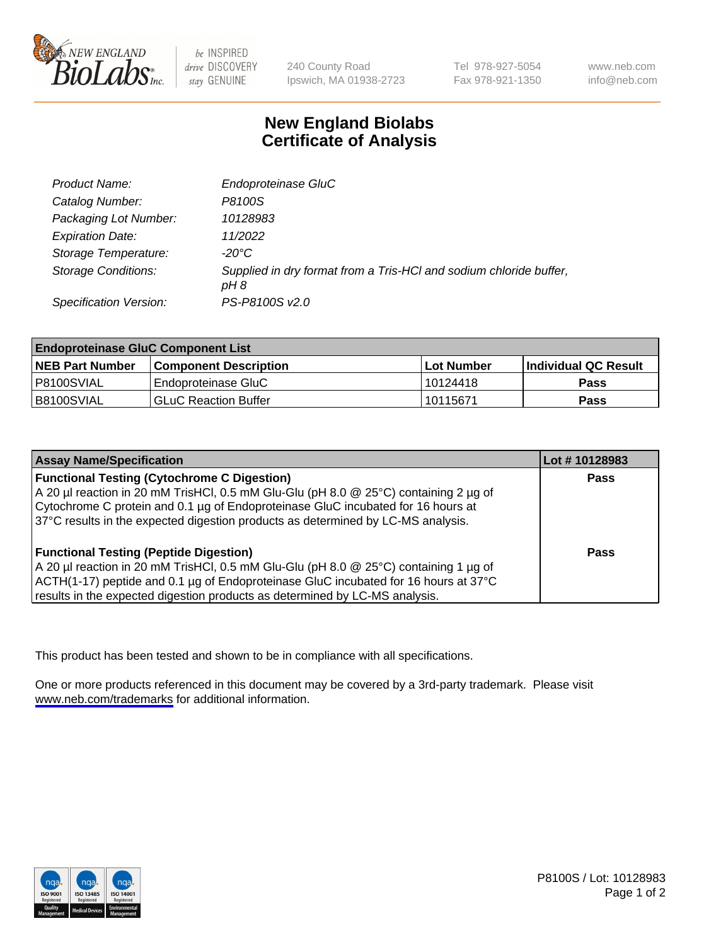

be INSPIRED drive DISCOVERY stay GENUINE

240 County Road Ipswich, MA 01938-2723 Tel 978-927-5054 Fax 978-921-1350

www.neb.com info@neb.com

## **New England Biolabs Certificate of Analysis**

| <b>Product Name:</b>       | Endoproteinase GluC                                                        |
|----------------------------|----------------------------------------------------------------------------|
| Catalog Number:            | P8100S                                                                     |
| Packaging Lot Number:      | 10128983                                                                   |
| <b>Expiration Date:</b>    | 11/2022                                                                    |
| Storage Temperature:       | $-20^{\circ}$ C                                                            |
| <b>Storage Conditions:</b> | Supplied in dry format from a Tris-HCI and sodium chloride buffer,<br>pH 8 |
| Specification Version:     | PS-P8100S v2.0                                                             |

| <b>Endoproteinase GluC Component List</b> |                              |            |                       |  |
|-------------------------------------------|------------------------------|------------|-----------------------|--|
| <b>NEB Part Number</b>                    | <b>Component Description</b> | Lot Number | ∣Individual QC Result |  |
| P8100SVIAL                                | Endoproteinase GluC          | 10124418   | <b>Pass</b>           |  |
| B8100SVIAL                                | <b>GLuC Reaction Buffer</b>  | 10115671   | Pass                  |  |

| <b>Assay Name/Specification</b>                                                        | Lot #10128983 |
|----------------------------------------------------------------------------------------|---------------|
| <b>Functional Testing (Cytochrome C Digestion)</b>                                     | <b>Pass</b>   |
| A 20 µl reaction in 20 mM TrisHCl, 0.5 mM Glu-Glu (pH 8.0 $@$ 25°C) containing 2 µg of |               |
| Cytochrome C protein and 0.1 µg of Endoproteinase GluC incubated for 16 hours at       |               |
| 37°C results in the expected digestion products as determined by LC-MS analysis.       |               |
| <b>Functional Testing (Peptide Digestion)</b>                                          | <b>Pass</b>   |
|                                                                                        |               |
| A 20 µl reaction in 20 mM TrisHCl, 0.5 mM Glu-Glu (pH 8.0 @ 25°C) containing 1 µg of   |               |
| ACTH(1-17) peptide and 0.1 µg of Endoproteinase GluC incubated for 16 hours at 37°C    |               |
| results in the expected digestion products as determined by LC-MS analysis.            |               |

This product has been tested and shown to be in compliance with all specifications.

One or more products referenced in this document may be covered by a 3rd-party trademark. Please visit <www.neb.com/trademarks>for additional information.